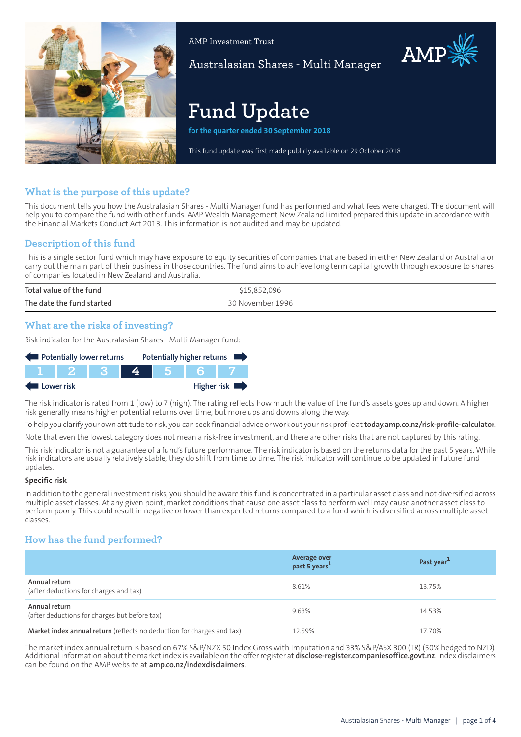

AMP Investment Trust

Australasian Shares - Multi Manager

# **Fund Update**

**for the quarter ended 30 September 2018**

This fund update was first made publicly available on 29 October 2018

# **What is the purpose of this update?**

This document tells you how the Australasian Shares - Multi Manager fund has performed and what fees were charged. The document will help you to compare the fund with other funds. AMP Wealth Management New Zealand Limited prepared this update in accordance with the Financial Markets Conduct Act 2013. This information is not audited and may be updated.

# **Description of this fund**

This is a single sector fund which may have exposure to equity securities of companies that are based in either New Zealand or Australia or carry out the main part of their business in those countries. The fund aims to achieve long term capital growth through exposure to shares of companies located in New Zealand and Australia.

| Total value of the fund   | \$15,852,096     |
|---------------------------|------------------|
| The date the fund started | 30 November 1996 |

## **What are the risks of investing?**

Risk indicator for the Australasian Shares - Multi Manager fund:

| Potentially lower returns |        |  |  | Potentially higher returns |             |
|---------------------------|--------|--|--|----------------------------|-------------|
|                           | IT 2 1 |  |  |                            |             |
| Lower risk                |        |  |  |                            | Higher risk |

The risk indicator is rated from 1 (low) to 7 (high). The rating reflects how much the value of the fund's assets goes up and down. A higher risk generally means higher potential returns over time, but more ups and downs along the way.

To help you clarify your own attitude to risk, you can seek financial advice orwork out yourrisk profile at**[today.amp.co.nz/risk-profile-calculator](http://today.amp.co.nz/risk-profile-calculator)**.

Note that even the lowest category does not mean a risk-free investment, and there are other risks that are not captured by this rating.

This risk indicator is not a guarantee of a fund's future performance. The risk indicator is based on the returns data for the past 5 years. While risk indicators are usually relatively stable, they do shift from time to time. The risk indicator will continue to be updated in future fund updates.

#### **Specific risk**

In addition to the general investmentrisks, you should be aware this fund is concentrated in a particular asset class and not diversified across multiple asset classes. At any given point, market conditions that cause one asset class to perform well may cause another asset class to perform poorly. This could result in negative or lower than expected returns compared to a fund which is diversified across multiple asset classes.

# **How has the fund performed?**

|                                                                        | Average over<br>past 5 years <sup>1</sup> | Past year <sup>1</sup> |
|------------------------------------------------------------------------|-------------------------------------------|------------------------|
| Annual return<br>(after deductions for charges and tax)                | 8.61%                                     | 13.75%                 |
| Annual return<br>(after deductions for charges but before tax)         | 9.63%                                     | 14.53%                 |
| Market index annual return (reflects no deduction for charges and tax) | 12.59%                                    | 17.70%                 |

The market index annual return is based on 67% S&P/NZX 50 Index Gross with Imputation and 33% S&P/ASX 300 (TR) (50% hedged to NZD). Additional information aboutthe marketindex is available on the offerregister at **[disclose-register.companiesoffice.govt.nz](https://disclose-register.companiesoffice.govt.nz/)**. Index disclaimers can be found on the AMP website at **[amp.co.nz/indexdisclaimers](http://amp.co.nz/indexdisclaimers)**.

AMP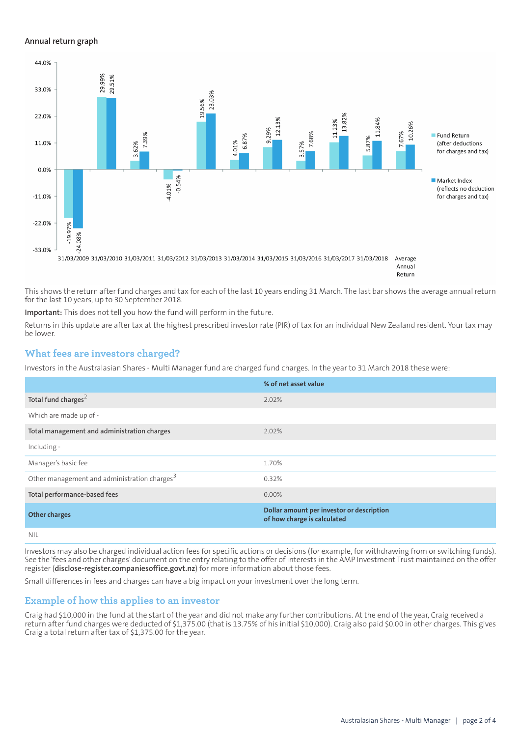#### **Annual return graph**



Return

This shows the return after fund charges and tax for each of the last 10 years ending 31 March. The last bar shows the average annual return for the last 10 years, up to 30 September 2018.

**Important:** This does not tell you how the fund will perform in the future.

Returns in this update are after tax at the highest prescribed investor rate (PIR) of tax for an individual New Zealand resident. Your tax may be lower.

## **What fees are investors charged?**

Investors in the Australasian Shares - Multi Manager fund are charged fund charges. In the year to 31 March 2018 these were:

|                                                          | % of net asset value                                                     |
|----------------------------------------------------------|--------------------------------------------------------------------------|
| Total fund charges <sup>2</sup>                          | 2.02%                                                                    |
| Which are made up of -                                   |                                                                          |
| Total management and administration charges              | 2.02%                                                                    |
| Including -                                              |                                                                          |
| Manager's basic fee                                      | 1.70%                                                                    |
| Other management and administration charges <sup>3</sup> | 0.32%                                                                    |
| Total performance-based fees                             | $0.00\%$                                                                 |
| <b>Other charges</b>                                     | Dollar amount per investor or description<br>of how charge is calculated |
| NII                                                      |                                                                          |

Investors may also be charged individual action fees for specific actions or decisions (for example, for withdrawing from or switching funds). See the 'fees and other charges' document on the entry relating to the offer of interests in the AMP Investment Trust maintained on the offer register (**[disclose-register.companiesoffice.govt.nz](https://disclose-register.companiesoffice.govt.nz/)**) for more information about those fees.

Small differences in fees and charges can have a big impact on your investment over the long term.

## **Example of how this applies to an investor**

Craig had \$10,000 in the fund at the start of the year and did not make any further contributions. At the end of the year, Craig received a return after fund charges were deducted of \$1,375.00 (that is 13.75% of his initial \$10,000). Craig also paid \$0.00 in other charges. This gives Craig a total return after tax of \$1,375.00 for the year.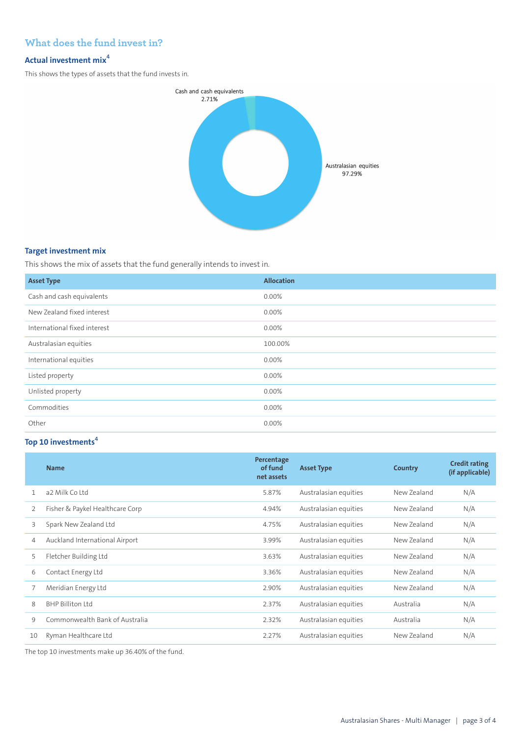# **What does the fund invest in?**

# **Actual investment mix<sup>4</sup>**

This shows the types of assets that the fund invests in.



#### **Target investment mix**

This shows the mix of assets that the fund generally intends to invest in.

| <b>Asset Type</b>            | <b>Allocation</b> |
|------------------------------|-------------------|
| Cash and cash equivalents    | $0.00\%$          |
| New Zealand fixed interest   | $0.00\%$          |
| International fixed interest | $0.00\%$          |
| Australasian equities        | 100.00%           |
| International equities       | 0.00%             |
| Listed property              | $0.00\%$          |
| Unlisted property            | 0.00%             |
| Commodities                  | 0.00%             |
| Other                        | $0.00\%$          |

# **Top 10 investments<sup>4</sup>**

|              | <b>Name</b>                     | Percentage<br>of fund<br>net assets | <b>Asset Type</b>     | Country     | <b>Credit rating</b><br>(if applicable) |
|--------------|---------------------------------|-------------------------------------|-----------------------|-------------|-----------------------------------------|
| $\mathbf{1}$ | a2 Milk Coltd                   | 5.87%                               | Australasian equities | New Zealand | N/A                                     |
| 2            | Fisher & Paykel Healthcare Corp | 4.94%                               | Australasian equities | New Zealand | N/A                                     |
| 3            | Spark New Zealand Ltd           | 4.75%                               | Australasian equities | New Zealand | N/A                                     |
| 4            | Auckland International Airport  | 3.99%                               | Australasian equities | New Zealand | N/A                                     |
| 5            | Fletcher Building Ltd           | 3.63%                               | Australasian equities | New Zealand | N/A                                     |
| 6            | Contact Energy Ltd              | 3.36%                               | Australasian equities | New Zealand | N/A                                     |
|              | Meridian Energy Ltd             | 2.90%                               | Australasian equities | New Zealand | N/A                                     |
| 8            | BHP Billiton Itd                | 2.37%                               | Australasian equities | Australia   | N/A                                     |
| 9            | Commonwealth Bank of Australia  | 2.32%                               | Australasian equities | Australia   | N/A                                     |
| 10           | Ryman Healthcare Ltd            | 2.27%                               | Australasian equities | New Zealand | N/A                                     |

The top 10 investments make up 36.40% of the fund.